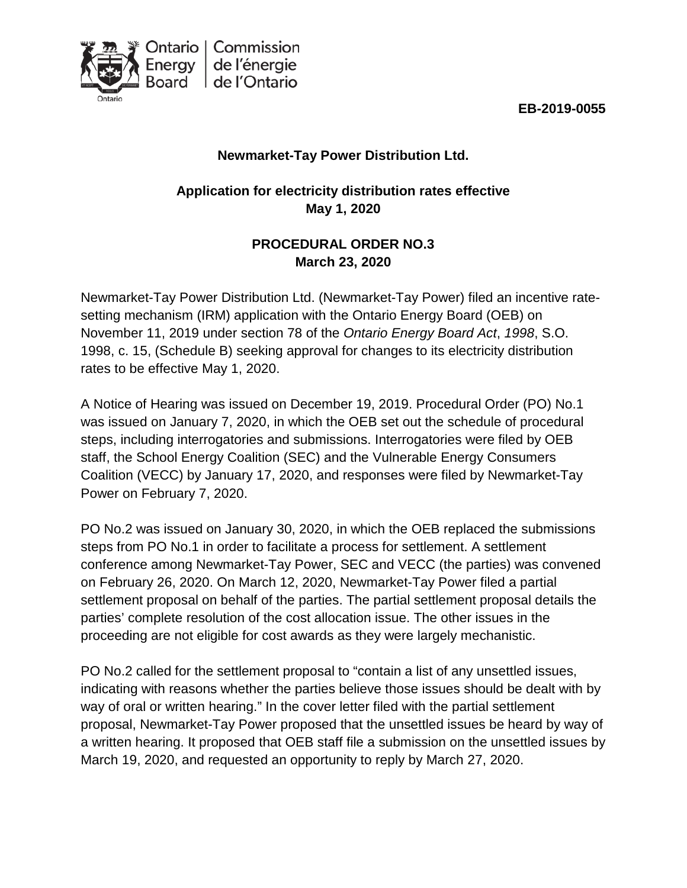



## **Newmarket-Tay Power Distribution Ltd.**

# **Application for electricity distribution rates effective May 1, 2020**

## **PROCEDURAL ORDER NO.3 March 23, 2020**

Newmarket-Tay Power Distribution Ltd. (Newmarket-Tay Power) filed an incentive ratesetting mechanism (IRM) application with the Ontario Energy Board (OEB) on November 11, 2019 under section 78 of the *Ontario Energy Board Act*, *1998*, S.O. 1998, c. 15, (Schedule B) seeking approval for changes to its electricity distribution rates to be effective May 1, 2020.

A Notice of Hearing was issued on December 19, 2019. Procedural Order (PO) No.1 was issued on January 7, 2020, in which the OEB set out the schedule of procedural steps, including interrogatories and submissions. Interrogatories were filed by OEB staff, the School Energy Coalition (SEC) and the Vulnerable Energy Consumers Coalition (VECC) by January 17, 2020, and responses were filed by Newmarket-Tay Power on February 7, 2020.

PO No.2 was issued on January 30, 2020, in which the OEB replaced the submissions steps from PO No.1 in order to facilitate a process for settlement. A settlement conference among Newmarket-Tay Power, SEC and VECC (the parties) was convened on February 26, 2020. On March 12, 2020, Newmarket-Tay Power filed a partial settlement proposal on behalf of the parties. The partial settlement proposal details the parties' complete resolution of the cost allocation issue. The other issues in the proceeding are not eligible for cost awards as they were largely mechanistic.

PO No.2 called for the settlement proposal to "contain a list of any unsettled issues, indicating with reasons whether the parties believe those issues should be dealt with by way of oral or written hearing." In the cover letter filed with the partial settlement proposal, Newmarket-Tay Power proposed that the unsettled issues be heard by way of a written hearing. It proposed that OEB staff file a submission on the unsettled issues by March 19, 2020, and requested an opportunity to reply by March 27, 2020.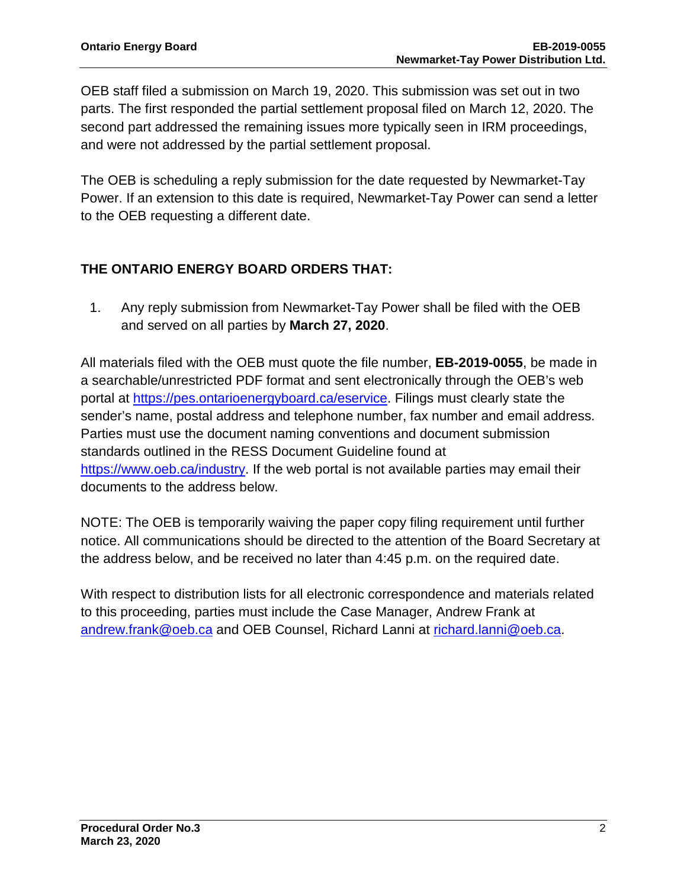OEB staff filed a submission on March 19, 2020. This submission was set out in two parts. The first responded the partial settlement proposal filed on March 12, 2020. The second part addressed the remaining issues more typically seen in IRM proceedings, and were not addressed by the partial settlement proposal.

The OEB is scheduling a reply submission for the date requested by Newmarket-Tay Power. If an extension to this date is required, Newmarket-Tay Power can send a letter to the OEB requesting a different date.

#### **THE ONTARIO ENERGY BOARD ORDERS THAT:**

1. Any reply submission from Newmarket-Tay Power shall be filed with the OEB and served on all parties by **March 27, 2020**.

All materials filed with the OEB must quote the file number, **EB-2019-0055**, be made in a searchable/unrestricted PDF format and sent electronically through the OEB's web portal at [https://pes.ontarioenergyboard.ca/eservice.](https://pes.ontarioenergyboard.ca/eservice) Filings must clearly state the sender's name, postal address and telephone number, fax number and email address. Parties must use the document naming conventions and document submission standards outlined in the RESS Document Guideline found at [https://www.oeb.ca/industry.](https://www.oeb.ca/industry) If the web portal is not available parties may email their documents to the address below.

NOTE: The OEB is temporarily waiving the paper copy filing requirement until further notice. All communications should be directed to the attention of the Board Secretary at the address below, and be received no later than 4:45 p.m. on the required date.

With respect to distribution lists for all electronic correspondence and materials related to this proceeding, parties must include the Case Manager, Andrew Frank at [andrew.frank@oeb.ca](mailto:andrew.frank@oeb.ca) and OEB Counsel, Richard Lanni at [richard.lanni@oeb.ca.](mailto:richard.lanni@oeb.ca)